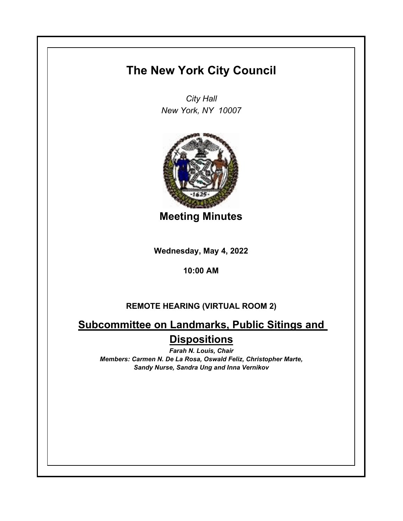## **The New York City Council**

*City Hall New York, NY 10007*



**Meeting Minutes**

**Wednesday, May 4, 2022**

**10:00 AM**

## **REMOTE HEARING (VIRTUAL ROOM 2)**

**Subcommittee on Landmarks, Public Sitings and Dispositions**

*Farah N. Louis, Chair Members: Carmen N. De La Rosa, Oswald Feliz, Christopher Marte, Sandy Nurse, Sandra Ung and Inna Vernikov*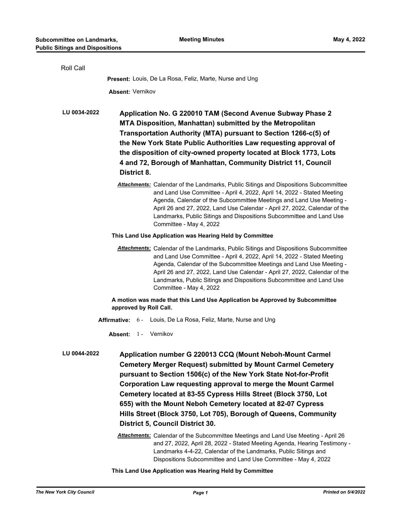| Roll Call                                                                                                                                                                                                                                                                                                                                                                                                                                                                                                                                                                                                                   |                                                                                                                                                                                                                                                                                                                                                                                                                                 |
|-----------------------------------------------------------------------------------------------------------------------------------------------------------------------------------------------------------------------------------------------------------------------------------------------------------------------------------------------------------------------------------------------------------------------------------------------------------------------------------------------------------------------------------------------------------------------------------------------------------------------------|---------------------------------------------------------------------------------------------------------------------------------------------------------------------------------------------------------------------------------------------------------------------------------------------------------------------------------------------------------------------------------------------------------------------------------|
|                                                                                                                                                                                                                                                                                                                                                                                                                                                                                                                                                                                                                             | Present: Louis, De La Rosa, Feliz, Marte, Nurse and Ung                                                                                                                                                                                                                                                                                                                                                                         |
| <b>Absent: Vernikov</b>                                                                                                                                                                                                                                                                                                                                                                                                                                                                                                                                                                                                     |                                                                                                                                                                                                                                                                                                                                                                                                                                 |
| LU 0034-2022<br>District 8.                                                                                                                                                                                                                                                                                                                                                                                                                                                                                                                                                                                                 | Application No. G 220010 TAM (Second Avenue Subway Phase 2<br>MTA Disposition, Manhattan) submitted by the Metropolitan<br>Transportation Authority (MTA) pursuant to Section 1266-c(5) of<br>the New York State Public Authorities Law requesting approval of<br>the disposition of city-owned property located at Block 1773, Lots<br>4 and 72, Borough of Manhattan, Community District 11, Council                          |
|                                                                                                                                                                                                                                                                                                                                                                                                                                                                                                                                                                                                                             | <b>Attachments:</b> Calendar of the Landmarks, Public Sitings and Dispositions Subcommittee<br>and Land Use Committee - April 4, 2022, April 14, 2022 - Stated Meeting<br>Agenda, Calendar of the Subcommittee Meetings and Land Use Meeting -<br>April 26 and 27, 2022, Land Use Calendar - April 27, 2022, Calendar of the<br>Landmarks, Public Sitings and Dispositions Subcommittee and Land Use<br>Committee - May 4, 2022 |
| This Land Use Application was Hearing Held by Committee                                                                                                                                                                                                                                                                                                                                                                                                                                                                                                                                                                     |                                                                                                                                                                                                                                                                                                                                                                                                                                 |
|                                                                                                                                                                                                                                                                                                                                                                                                                                                                                                                                                                                                                             | <b>Attachments:</b> Calendar of the Landmarks, Public Sitings and Dispositions Subcommittee<br>and Land Use Committee - April 4, 2022, April 14, 2022 - Stated Meeting<br>Agenda, Calendar of the Subcommittee Meetings and Land Use Meeting -<br>April 26 and 27, 2022, Land Use Calendar - April 27, 2022, Calendar of the<br>Landmarks, Public Sitings and Dispositions Subcommittee and Land Use<br>Committee - May 4, 2022 |
| A motion was made that this Land Use Application be Approved by Subcommittee<br>approved by Roll Call.                                                                                                                                                                                                                                                                                                                                                                                                                                                                                                                      |                                                                                                                                                                                                                                                                                                                                                                                                                                 |
|                                                                                                                                                                                                                                                                                                                                                                                                                                                                                                                                                                                                                             | <b>Affirmative:</b> 6 - Louis, De La Rosa, Feliz, Marte, Nurse and Ung                                                                                                                                                                                                                                                                                                                                                          |
| Absent: 1 - Vernikov                                                                                                                                                                                                                                                                                                                                                                                                                                                                                                                                                                                                        |                                                                                                                                                                                                                                                                                                                                                                                                                                 |
| LU 0044-2022<br>Application number G 220013 CCQ (Mount Neboh-Mount Carmel<br><b>Cemetery Merger Request) submitted by Mount Carmel Cemetery</b><br>pursuant to Section 1506(c) of the New York State Not-for-Profit<br>Corporation Law requesting approval to merge the Mount Carmel<br>Cemetery located at 83-55 Cypress Hills Street (Block 3750, Lot<br>655) with the Mount Neboh Cemetery located at 82-07 Cypress<br>Hills Street (Block 3750, Lot 705), Borough of Queens, Community<br>District 5, Council District 30.<br><b>Attachments:</b> Calendar of the Subcommittee Meetings and Land Use Meeting - April 26 |                                                                                                                                                                                                                                                                                                                                                                                                                                 |
|                                                                                                                                                                                                                                                                                                                                                                                                                                                                                                                                                                                                                             | and 27, 2022, April 28, 2022 - Stated Meeting Agenda, Hearing Testimony -                                                                                                                                                                                                                                                                                                                                                       |

## **This Land Use Application was Hearing Held by Committee**

Landmarks 4-4-22, Calendar of the Landmarks, Public Sitings and Dispositions Subcommittee and Land Use Committee - May 4, 2022